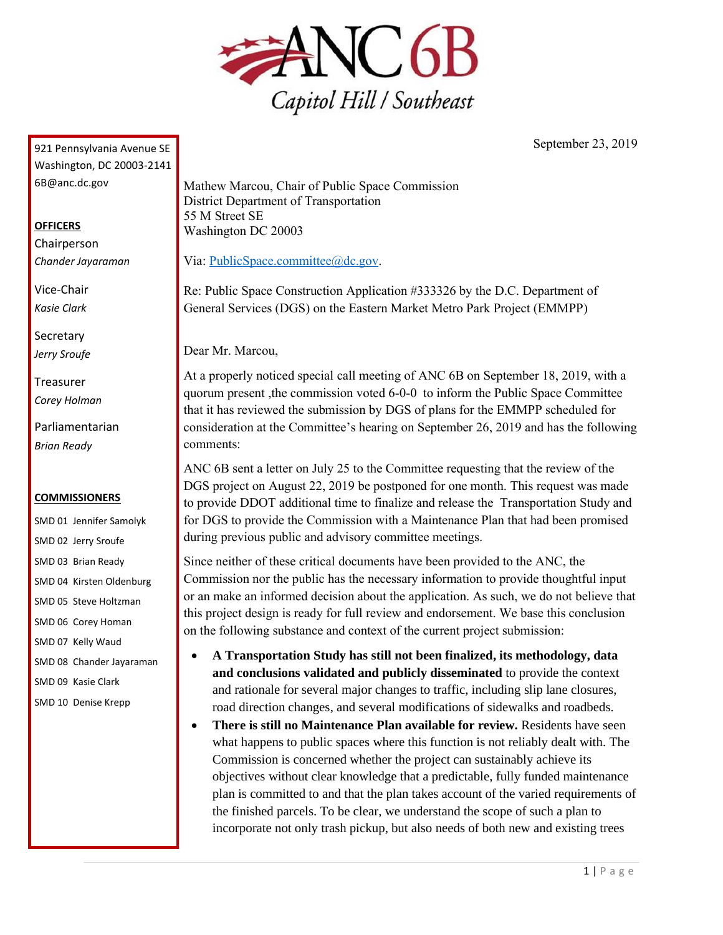

921 Pennsylvania Avenue SE Washington, DC 20003-2141 6B@anc.dc.gov

## **OFFICERS**

Chairperson *Chander Jayaraman*

Vice-Chair *Kasie Clark*

**Secretary** *Jerry Sroufe*

Treasurer *Corey Holman*

Parliamentarian *Brian Ready*

## **COMMISSIONERS**

SMD 01 Jennifer Samolyk SMD 02 Jerry Sroufe SMD 03 Brian Ready SMD 04 Kirsten Oldenburg SMD 05 Steve Holtzman SMD 06 Corey Homan SMD 07 Kelly Waud SMD 08 Chander Jayaraman SMD 09 Kasie Clark SMD 10 Denise Krepp

Mathew Marcou, Chair of Public Space Commission District Department of Transportation 55 M Street SE Washington DC 20003

Via: [PublicSpace.committee@dc.gov.](mailto:PublicSpace.committee@dc.gov)

Re: Public Space Construction Application #333326 by the D.C. Department of General Services (DGS) on the Eastern Market Metro Park Project (EMMPP)

Dear Mr. Marcou,

At a properly noticed special call meeting of ANC 6B on September 18, 2019, with a quorum present ,the commission voted 6-0-0 to inform the Public Space Committee that it has reviewed the submission by DGS of plans for the EMMPP scheduled for consideration at the Committee's hearing on September 26, 2019 and has the following comments:

ANC 6B sent a letter on July 25 to the Committee requesting that the review of the DGS project on August 22, 2019 be postponed for one month. This request was made to provide DDOT additional time to finalize and release the Transportation Study and for DGS to provide the Commission with a Maintenance Plan that had been promised during previous public and advisory committee meetings.

Since neither of these critical documents have been provided to the ANC, the Commission nor the public has the necessary information to provide thoughtful input or an make an informed decision about the application. As such, we do not believe that this project design is ready for full review and endorsement. We base this conclusion on the following substance and context of the current project submission:

- **A Transportation Study has still not been finalized, its methodology, data and conclusions validated and publicly disseminated** to provide the context and rationale for several major changes to traffic, including slip lane closures, road direction changes, and several modifications of sidewalks and roadbeds.
- **There is still no Maintenance Plan available for review.** Residents have seen what happens to public spaces where this function is not reliably dealt with. The Commission is concerned whether the project can sustainably achieve its objectives without clear knowledge that a predictable, fully funded maintenance plan is committed to and that the plan takes account of the varied requirements of the finished parcels. To be clear, we understand the scope of such a plan to incorporate not only trash pickup, but also needs of both new and existing trees

September 23, 2019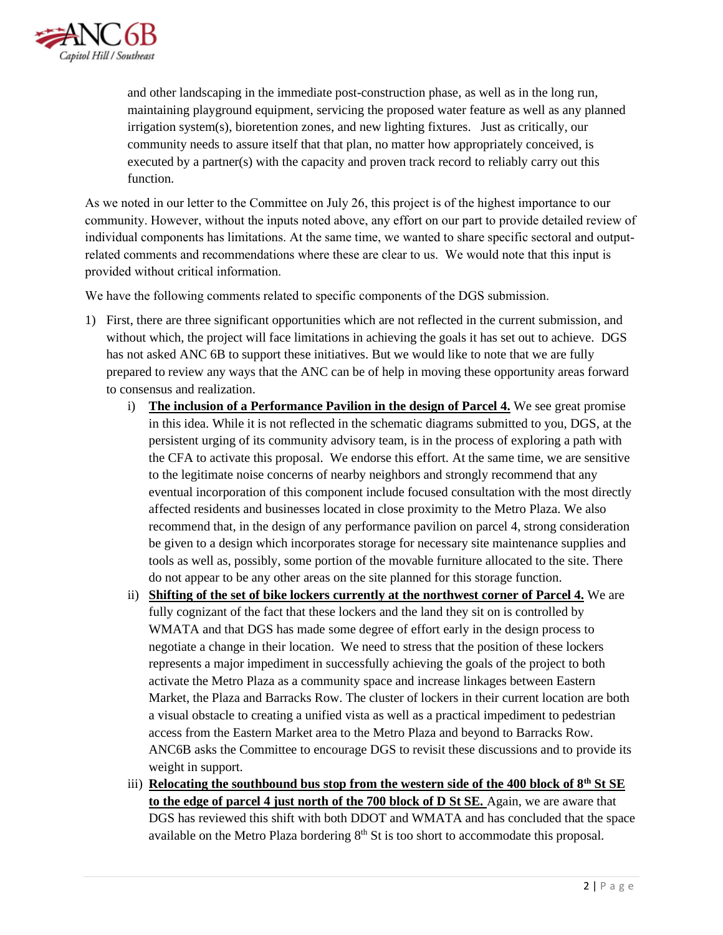

and other landscaping in the immediate post-construction phase, as well as in the long run, maintaining playground equipment, servicing the proposed water feature as well as any planned irrigation system(s), bioretention zones, and new lighting fixtures. Just as critically, our community needs to assure itself that that plan, no matter how appropriately conceived, is executed by a partner(s) with the capacity and proven track record to reliably carry out this function.

As we noted in our letter to the Committee on July 26, this project is of the highest importance to our community. However, without the inputs noted above, any effort on our part to provide detailed review of individual components has limitations. At the same time, we wanted to share specific sectoral and outputrelated comments and recommendations where these are clear to us. We would note that this input is provided without critical information.

We have the following comments related to specific components of the DGS submission.

- 1) First, there are three significant opportunities which are not reflected in the current submission, and without which, the project will face limitations in achieving the goals it has set out to achieve. DGS has not asked ANC 6B to support these initiatives. But we would like to note that we are fully prepared to review any ways that the ANC can be of help in moving these opportunity areas forward to consensus and realization.
	- i) **The inclusion of a Performance Pavilion in the design of Parcel 4.** We see great promise in this idea. While it is not reflected in the schematic diagrams submitted to you, DGS, at the persistent urging of its community advisory team, is in the process of exploring a path with the CFA to activate this proposal. We endorse this effort. At the same time, we are sensitive to the legitimate noise concerns of nearby neighbors and strongly recommend that any eventual incorporation of this component include focused consultation with the most directly affected residents and businesses located in close proximity to the Metro Plaza. We also recommend that, in the design of any performance pavilion on parcel 4, strong consideration be given to a design which incorporates storage for necessary site maintenance supplies and tools as well as, possibly, some portion of the movable furniture allocated to the site. There do not appear to be any other areas on the site planned for this storage function.
	- ii) **Shifting of the set of bike lockers currently at the northwest corner of Parcel 4.** We are fully cognizant of the fact that these lockers and the land they sit on is controlled by WMATA and that DGS has made some degree of effort early in the design process to negotiate a change in their location. We need to stress that the position of these lockers represents a major impediment in successfully achieving the goals of the project to both activate the Metro Plaza as a community space and increase linkages between Eastern Market, the Plaza and Barracks Row. The cluster of lockers in their current location are both a visual obstacle to creating a unified vista as well as a practical impediment to pedestrian access from the Eastern Market area to the Metro Plaza and beyond to Barracks Row. ANC6B asks the Committee to encourage DGS to revisit these discussions and to provide its weight in support.
	- iii) **Relocating the southbound bus stop from the western side of the 400 block of 8th St SE to the edge of parcel 4 just north of the 700 block of D St SE.** Again, we are aware that DGS has reviewed this shift with both DDOT and WMATA and has concluded that the space available on the Metro Plaza bordering  $8<sup>th</sup>$  St is too short to accommodate this proposal.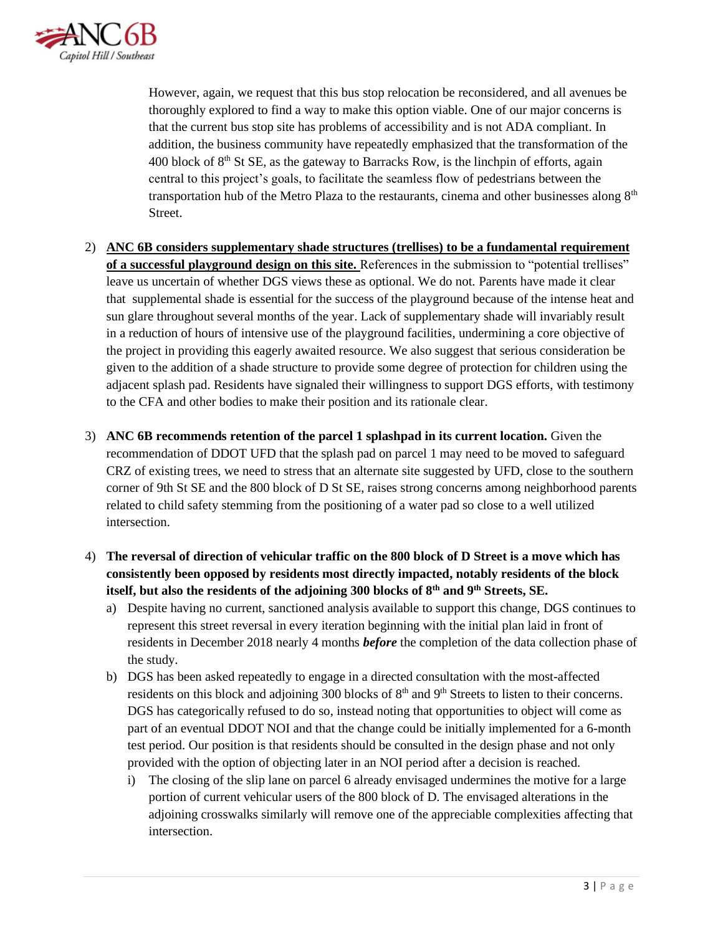

However, again, we request that this bus stop relocation be reconsidered, and all avenues be thoroughly explored to find a way to make this option viable. One of our major concerns is that the current bus stop site has problems of accessibility and is not ADA compliant. In addition, the business community have repeatedly emphasized that the transformation of the 400 block of  $8<sup>th</sup>$  St SE, as the gateway to Barracks Row, is the linchpin of efforts, again central to this project's goals, to facilitate the seamless flow of pedestrians between the transportation hub of the Metro Plaza to the restaurants, cinema and other businesses along  $8<sup>th</sup>$ Street.

- 2) **ANC 6B considers supplementary shade structures (trellises) to be a fundamental requirement of a successful playground design on this site.** References in the submission to "potential trellises" leave us uncertain of whether DGS views these as optional. We do not. Parents have made it clear that supplemental shade is essential for the success of the playground because of the intense heat and sun glare throughout several months of the year. Lack of supplementary shade will invariably result in a reduction of hours of intensive use of the playground facilities, undermining a core objective of the project in providing this eagerly awaited resource. We also suggest that serious consideration be given to the addition of a shade structure to provide some degree of protection for children using the adjacent splash pad. Residents have signaled their willingness to support DGS efforts, with testimony to the CFA and other bodies to make their position and its rationale clear.
- 3) **ANC 6B recommends retention of the parcel 1 splashpad in its current location.** Given the recommendation of DDOT UFD that the splash pad on parcel 1 may need to be moved to safeguard CRZ of existing trees, we need to stress that an alternate site suggested by UFD, close to the southern corner of 9th St SE and the 800 block of D St SE, raises strong concerns among neighborhood parents related to child safety stemming from the positioning of a water pad so close to a well utilized intersection.
- 4) **The reversal of direction of vehicular traffic on the 800 block of D Street is a move which has consistently been opposed by residents most directly impacted, notably residents of the block itself, but also the residents of the adjoining 300 blocks of 8th and 9th Streets, SE.**
	- a) Despite having no current, sanctioned analysis available to support this change, DGS continues to represent this street reversal in every iteration beginning with the initial plan laid in front of residents in December 2018 nearly 4 months *before* the completion of the data collection phase of the study.
	- b) DGS has been asked repeatedly to engage in a directed consultation with the most-affected residents on this block and adjoining 300 blocks of  $8<sup>th</sup>$  and  $9<sup>th</sup>$  Streets to listen to their concerns. DGS has categorically refused to do so, instead noting that opportunities to object will come as part of an eventual DDOT NOI and that the change could be initially implemented for a 6-month test period. Our position is that residents should be consulted in the design phase and not only provided with the option of objecting later in an NOI period after a decision is reached.
		- i) The closing of the slip lane on parcel 6 already envisaged undermines the motive for a large portion of current vehicular users of the 800 block of D. The envisaged alterations in the adjoining crosswalks similarly will remove one of the appreciable complexities affecting that intersection.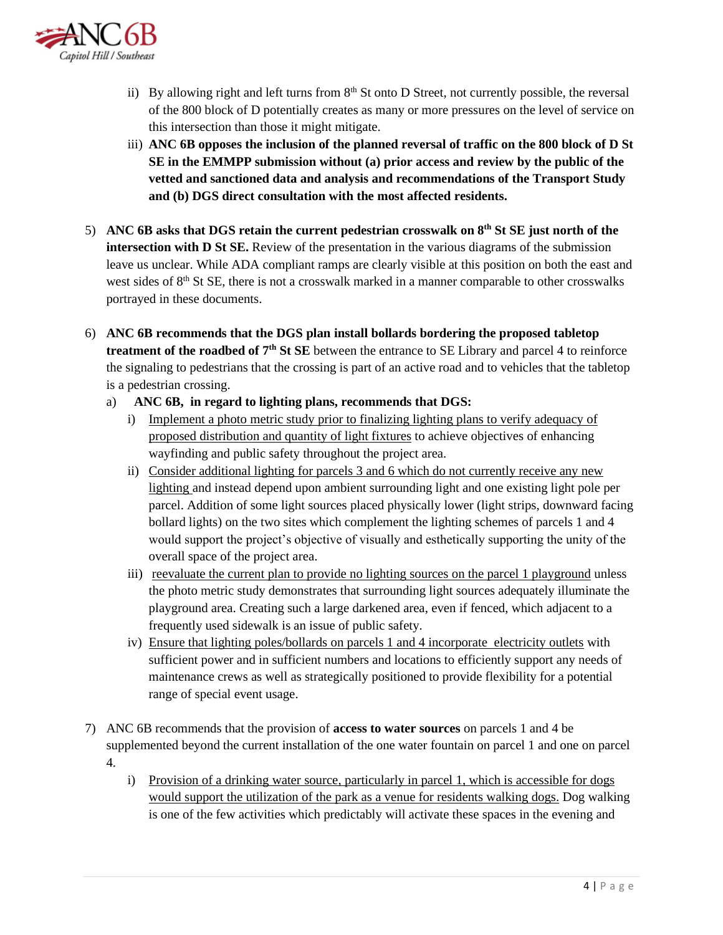

- ii) By allowing right and left turns from  $8<sup>th</sup>$  St onto D Street, not currently possible, the reversal of the 800 block of D potentially creates as many or more pressures on the level of service on this intersection than those it might mitigate.
- iii) **ANC 6B opposes the inclusion of the planned reversal of traffic on the 800 block of D St SE in the EMMPP submission without (a) prior access and review by the public of the vetted and sanctioned data and analysis and recommendations of the Transport Study and (b) DGS direct consultation with the most affected residents.**
- 5) **ANC 6B asks that DGS retain the current pedestrian crosswalk on 8th St SE just north of the intersection with D St SE.** Review of the presentation in the various diagrams of the submission leave us unclear. While ADA compliant ramps are clearly visible at this position on both the east and west sides of  $8<sup>th</sup>$  St SE, there is not a crosswalk marked in a manner comparable to other crosswalks portrayed in these documents.
- 6) **ANC 6B recommends that the DGS plan install bollards bordering the proposed tabletop treatment of the roadbed of 7th St SE** between the entrance to SE Library and parcel 4 to reinforce the signaling to pedestrians that the crossing is part of an active road and to vehicles that the tabletop is a pedestrian crossing.
	- a) **ANC 6B, in regard to lighting plans, recommends that DGS:**
		- i) Implement a photo metric study prior to finalizing lighting plans to verify adequacy of proposed distribution and quantity of light fixtures to achieve objectives of enhancing wayfinding and public safety throughout the project area.
		- ii) Consider additional lighting for parcels 3 and 6 which do not currently receive any new lighting and instead depend upon ambient surrounding light and one existing light pole per parcel. Addition of some light sources placed physically lower (light strips, downward facing bollard lights) on the two sites which complement the lighting schemes of parcels 1 and 4 would support the project's objective of visually and esthetically supporting the unity of the overall space of the project area.
		- iii) reevaluate the current plan to provide no lighting sources on the parcel 1 playground unless the photo metric study demonstrates that surrounding light sources adequately illuminate the playground area. Creating such a large darkened area, even if fenced, which adjacent to a frequently used sidewalk is an issue of public safety.
		- iv) Ensure that lighting poles/bollards on parcels 1 and 4 incorporate electricity outlets with sufficient power and in sufficient numbers and locations to efficiently support any needs of maintenance crews as well as strategically positioned to provide flexibility for a potential range of special event usage.
- 7) ANC 6B recommends that the provision of **access to water sources** on parcels 1 and 4 be supplemented beyond the current installation of the one water fountain on parcel 1 and one on parcel 4.
	- i) Provision of a drinking water source, particularly in parcel 1, which is accessible for dogs would support the utilization of the park as a venue for residents walking dogs. Dog walking is one of the few activities which predictably will activate these spaces in the evening and